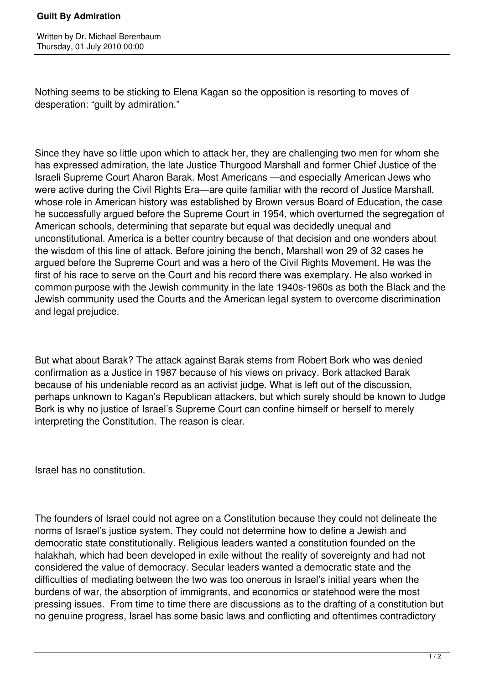## **Guilt By Admiration**

Nothing seems to be sticking to Elena Kagan so the opposition is resorting to moves of desperation: "guilt by admiration."

Since they have so little upon which to attack her, they are challenging two men for whom she has expressed admiration, the late Justice Thurgood Marshall and former Chief Justice of the Israeli Supreme Court Aharon Barak. Most Americans —and especially American Jews who were active during the Civil Rights Era—are quite familiar with the record of Justice Marshall, whose role in American history was established by Brown versus Board of Education, the case he successfully argued before the Supreme Court in 1954, which overturned the segregation of American schools, determining that separate but equal was decidedly unequal and unconstitutional. America is a better country because of that decision and one wonders about the wisdom of this line of attack. Before joining the bench, Marshall won 29 of 32 cases he argued before the Supreme Court and was a hero of the Civil Rights Movement. He was the first of his race to serve on the Court and his record there was exemplary. He also worked in common purpose with the Jewish community in the late 1940s-1960s as both the Black and the Jewish community used the Courts and the American legal system to overcome discrimination and legal prejudice.

But what about Barak? The attack against Barak stems from Robert Bork who was denied confirmation as a Justice in 1987 because of his views on privacy. Bork attacked Barak because of his undeniable record as an activist judge. What is left out of the discussion, perhaps unknown to Kagan's Republican attackers, but which surely should be known to Judge Bork is why no justice of Israel's Supreme Court can confine himself or herself to merely interpreting the Constitution. The reason is clear.

Israel has no constitution.

The founders of Israel could not agree on a Constitution because they could not delineate the norms of Israel's justice system. They could not determine how to define a Jewish and democratic state constitutionally. Religious leaders wanted a constitution founded on the halakhah, which had been developed in exile without the reality of sovereignty and had not considered the value of democracy. Secular leaders wanted a democratic state and the difficulties of mediating between the two was too onerous in Israel's initial years when the burdens of war, the absorption of immigrants, and economics or statehood were the most pressing issues. From time to time there are discussions as to the drafting of a constitution but no genuine progress, Israel has some basic laws and conflicting and oftentimes contradictory